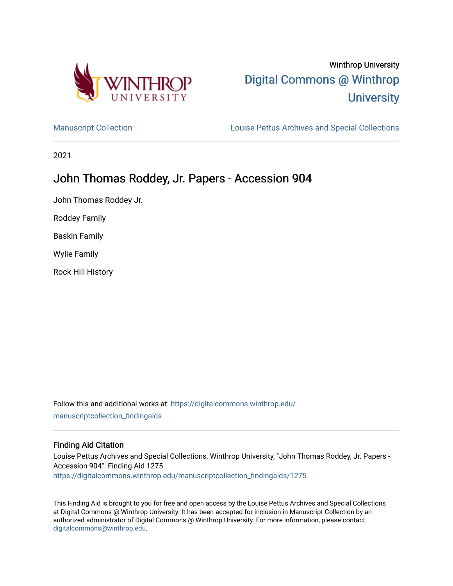

# Winthrop University [Digital Commons @ Winthrop](https://digitalcommons.winthrop.edu/)  **University**

[Manuscript Collection](https://digitalcommons.winthrop.edu/manuscriptcollection_findingaids) **Louise Pettus Archives and Special Collections** 

2021

# John Thomas Roddey, Jr. Papers - Accession 904

John Thomas Roddey Jr.

Roddey Family

Baskin Family

Wylie Family

Rock Hill History

Follow this and additional works at: [https://digitalcommons.winthrop.edu/](https://digitalcommons.winthrop.edu/manuscriptcollection_findingaids?utm_source=digitalcommons.winthrop.edu%2Fmanuscriptcollection_findingaids%2F1275&utm_medium=PDF&utm_campaign=PDFCoverPages) [manuscriptcollection\\_findingaids](https://digitalcommons.winthrop.edu/manuscriptcollection_findingaids?utm_source=digitalcommons.winthrop.edu%2Fmanuscriptcollection_findingaids%2F1275&utm_medium=PDF&utm_campaign=PDFCoverPages) 

#### Finding Aid Citation

Louise Pettus Archives and Special Collections, Winthrop University, "John Thomas Roddey, Jr. Papers - Accession 904". Finding Aid 1275. [https://digitalcommons.winthrop.edu/manuscriptcollection\\_findingaids/1275](https://digitalcommons.winthrop.edu/manuscriptcollection_findingaids/1275?utm_source=digitalcommons.winthrop.edu%2Fmanuscriptcollection_findingaids%2F1275&utm_medium=PDF&utm_campaign=PDFCoverPages) 

This Finding Aid is brought to you for free and open access by the Louise Pettus Archives and Special Collections at Digital Commons @ Winthrop University. It has been accepted for inclusion in Manuscript Collection by an authorized administrator of Digital Commons @ Winthrop University. For more information, please contact [digitalcommons@winthrop.edu](mailto:digitalcommons@winthrop.edu).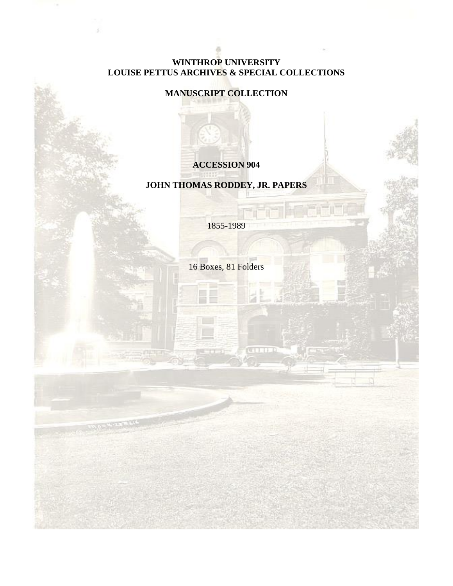#### **WINTHROP UNIVERSITY LOUISE PETTUS ARCHIVES & SPECIAL COLLECTIONS**

#### **MANUSCRIPT COLLECTION**

**ACCESSION 904**

# **JOHN THOMAS RODDEY, JR. PAPERS**

1855-1989

16 Boxes, 81 Folders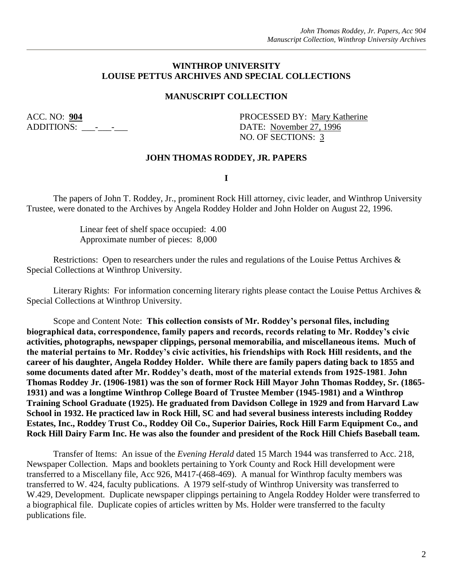#### **WINTHROP UNIVERSITY LOUISE PETTUS ARCHIVES AND SPECIAL COLLECTIONS**

#### **MANUSCRIPT COLLECTION**

ACC. NO: **904** PROCESSED BY: Mary Katherine ADDITIONS: - - DATE: November 27, 1996 NO. OF SECTIONS: 3

#### **JOHN THOMAS RODDEY, JR. PAPERS**

**I**

The papers of John T. Roddey, Jr., prominent Rock Hill attorney, civic leader, and Winthrop University Trustee, were donated to the Archives by Angela Roddey Holder and John Holder on August 22, 1996.

> Linear feet of shelf space occupied: 4.00 Approximate number of pieces: 8,000

Restrictions: Open to researchers under the rules and regulations of the Louise Pettus Archives & Special Collections at Winthrop University.

Literary Rights: For information concerning literary rights please contact the Louise Pettus Archives & Special Collections at Winthrop University.

Scope and Content Note: **This collection consists of Mr. Roddey's personal files, including biographical data, correspondence, family papers and records, records relating to Mr. Roddey's civic activities, photographs, newspaper clippings, personal memorabilia, and miscellaneous items. Much of the material pertains to Mr. Roddey's civic activities, his friendships with Rock Hill residents, and the career of his daughter, Angela Roddey Holder. While there are family papers dating back to 1855 and some documents dated after Mr. Roddey's death, most of the material extends from 1925-1981**. **John Thomas Roddey Jr. (1906-1981) was the son of former Rock Hill Mayor John Thomas Roddey, Sr. (1865- 1931) and was a longtime Winthrop College Board of Trustee Member (1945-1981) and a Winthrop Training School Graduate (1925). He graduated from Davidson College in 1929 and from Harvard Law School in 1932. He practiced law in Rock Hill, SC and had several business interests including Roddey Estates, Inc., Roddey Trust Co., Roddey Oil Co., Superior Dairies, Rock Hill Farm Equipment Co., and Rock Hill Dairy Farm Inc. He was also the founder and president of the Rock Hill Chiefs Baseball team.**

Transfer of Items: An issue of the *Evening Herald* dated 15 March 1944 was transferred to Acc. 218, Newspaper Collection. Maps and booklets pertaining to York County and Rock Hill development were transferred to a Miscellany file, Acc 926, M417-(468-469). A manual for Winthrop faculty members was transferred to W. 424, faculty publications. A 1979 self-study of Winthrop University was transferred to W.429, Development. Duplicate newspaper clippings pertaining to Angela Roddey Holder were transferred to a biographical file. Duplicate copies of articles written by Ms. Holder were transferred to the faculty publications file.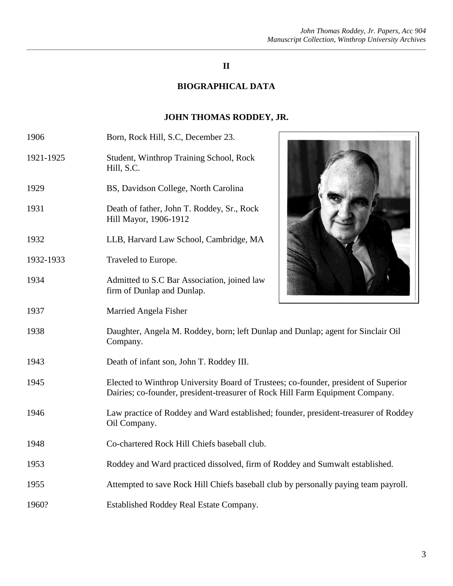## **II**

# **BIOGRAPHICAL DATA**

# **JOHN THOMAS RODDEY, JR.**

| 1906      | Born, Rock Hill, S.C, December 23.                                                                                                                                   |  |
|-----------|----------------------------------------------------------------------------------------------------------------------------------------------------------------------|--|
| 1921-1925 | Student, Winthrop Training School, Rock<br>Hill, S.C.                                                                                                                |  |
| 1929      | BS, Davidson College, North Carolina                                                                                                                                 |  |
| 1931      | Death of father, John T. Roddey, Sr., Rock<br>Hill Mayor, 1906-1912                                                                                                  |  |
| 1932      | LLB, Harvard Law School, Cambridge, MA                                                                                                                               |  |
| 1932-1933 | Traveled to Europe.                                                                                                                                                  |  |
| 1934      | Admitted to S.C Bar Association, joined law<br>firm of Dunlap and Dunlap.                                                                                            |  |
| 1937      | Married Angela Fisher                                                                                                                                                |  |
| 1938      | Daughter, Angela M. Roddey, born; left Dunlap and Dunlap; agent for Sinclair Oil<br>Company.                                                                         |  |
| 1943      | Death of infant son, John T. Roddey III.                                                                                                                             |  |
| 1945      | Elected to Winthrop University Board of Trustees; co-founder, president of Superior<br>Dairies; co-founder, president-treasurer of Rock Hill Farm Equipment Company. |  |
| 1946      | Law practice of Roddey and Ward established; founder, president-treasurer of Roddey<br>Oil Company.                                                                  |  |
| 1948      | Co-chartered Rock Hill Chiefs baseball club.                                                                                                                         |  |
| 1953      | Roddey and Ward practiced dissolved, firm of Roddey and Sumwalt established.                                                                                         |  |
| 1955      | Attempted to save Rock Hill Chiefs baseball club by personally paying team payroll.                                                                                  |  |
| 1960?     | Established Roddey Real Estate Company.                                                                                                                              |  |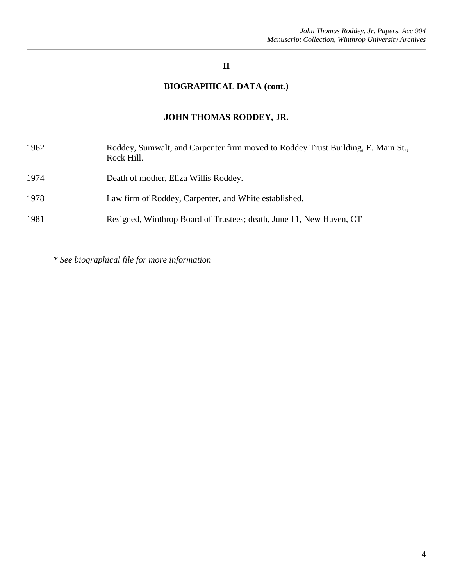## **II**

# **BIOGRAPHICAL DATA (cont.)**

# **JOHN THOMAS RODDEY, JR.**

| 1962 | Roddey, Sumwalt, and Carpenter firm moved to Roddey Trust Building, E. Main St.,<br>Rock Hill. |
|------|------------------------------------------------------------------------------------------------|
| 1974 | Death of mother, Eliza Willis Roddey.                                                          |
| 1978 | Law firm of Roddey, Carpenter, and White established.                                          |
| 1981 | Resigned, Winthrop Board of Trustees; death, June 11, New Haven, CT                            |

*\* See biographical file for more information*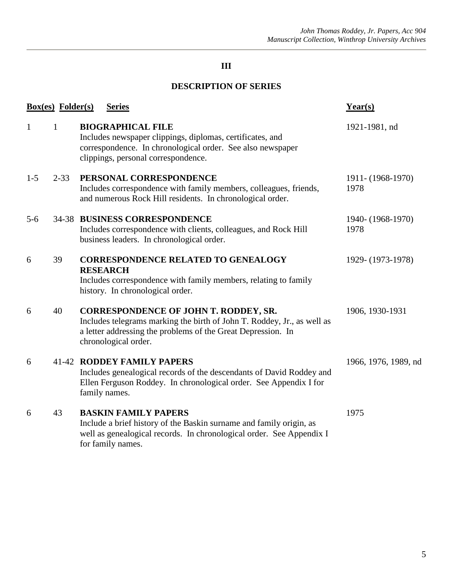## **DESCRIPTION OF SERIES**

|              | <b>Box(es)</b> Folder(s) | <b>Series</b>                                                                                                                                                                                                   | Year(s)                   |
|--------------|--------------------------|-----------------------------------------------------------------------------------------------------------------------------------------------------------------------------------------------------------------|---------------------------|
| $\mathbf{1}$ | $\mathbf{1}$             | <b>BIOGRAPHICAL FILE</b><br>Includes newspaper clippings, diplomas, certificates, and<br>correspondence. In chronological order. See also newspaper<br>clippings, personal correspondence.                      | 1921-1981, nd             |
| $1 - 5$      | $2 - 33$                 | PERSONAL CORRESPONDENCE<br>Includes correspondence with family members, colleagues, friends,<br>and numerous Rock Hill residents. In chronological order.                                                       | 1911-(1968-1970)<br>1978  |
| $5 - 6$      |                          | <b>34-38 BUSINESS CORRESPONDENCE</b><br>Includes correspondence with clients, colleagues, and Rock Hill<br>business leaders. In chronological order.                                                            | 1940- (1968-1970)<br>1978 |
| 6            | 39                       | <b>CORRESPONDENCE RELATED TO GENEALOGY</b><br><b>RESEARCH</b><br>Includes correspondence with family members, relating to family<br>history. In chronological order.                                            | 1929-(1973-1978)          |
| 6            | 40                       | <b>CORRESPONDENCE OF JOHN T. RODDEY, SR.</b><br>Includes telegrams marking the birth of John T. Roddey, Jr., as well as<br>a letter addressing the problems of the Great Depression. In<br>chronological order. | 1906, 1930-1931           |
| 6            |                          | <b>41-42 RODDEY FAMILY PAPERS</b><br>Includes genealogical records of the descendants of David Roddey and<br>Ellen Ferguson Roddey. In chronological order. See Appendix I for<br>family names.                 | 1966, 1976, 1989, nd      |
| 6            | 43                       | <b>BASKIN FAMILY PAPERS</b><br>Include a brief history of the Baskin surname and family origin, as<br>well as genealogical records. In chronological order. See Appendix I<br>for family names.                 | 1975                      |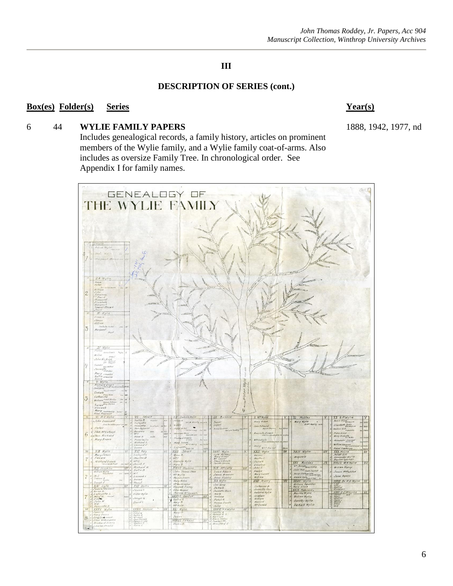#### **DESCRIPTION OF SERIES (cont.)**

#### **Box(es) Folder(s) Series Year(s)**

## 6 44 **WYLIE FAMILY PAPERS** 1888, 1942, 1977, nd

Includes genealogical records, a family history, articles on prominent members of the Wylie family, and a Wylie family coat-of-arms. Also includes as oversize Family Tree. In chronological order. See Appendix I for family names.

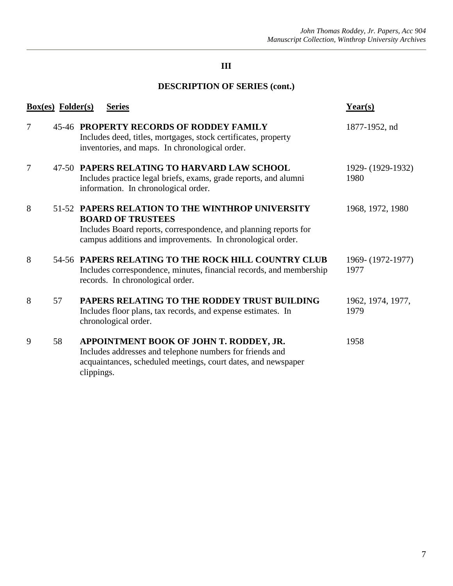# **DESCRIPTION OF SERIES (cont.)**

|                | <b>Box(es)</b> Folder(s) | <b>Series</b>                                                                                                                                                                                                  | $Year(s)$                 |
|----------------|--------------------------|----------------------------------------------------------------------------------------------------------------------------------------------------------------------------------------------------------------|---------------------------|
| 7              |                          | <b>45-46 PROPERTY RECORDS OF RODDEY FAMILY</b><br>Includes deed, titles, mortgages, stock certificates, property<br>inventories, and maps. In chronological order.                                             | 1877-1952, nd             |
| $\overline{7}$ |                          | 47-50 PAPERS RELATING TO HARVARD LAW SCHOOL<br>Includes practice legal briefs, exams, grade reports, and alumni<br>information. In chronological order.                                                        | 1929-(1929-1932)<br>1980  |
| 8              |                          | 51-52 PAPERS RELATION TO THE WINTHROP UNIVERSITY<br><b>BOARD OF TRUSTEES</b><br>Includes Board reports, correspondence, and planning reports for<br>campus additions and improvements. In chronological order. | 1968, 1972, 1980          |
| 8              |                          | 54-56 PAPERS RELATING TO THE ROCK HILL COUNTRY CLUB<br>Includes correspondence, minutes, financial records, and membership<br>records. In chronological order.                                                 | 1969-(1972-1977)<br>1977  |
| 8              | 57                       | PAPERS RELATING TO THE RODDEY TRUST BUILDING<br>Includes floor plans, tax records, and expense estimates. In<br>chronological order.                                                                           | 1962, 1974, 1977,<br>1979 |
| 9              | 58                       | APPOINTMENT BOOK OF JOHN T. RODDEY, JR.<br>Includes addresses and telephone numbers for friends and<br>acquaintances, scheduled meetings, court dates, and newspaper<br>clippings.                             | 1958                      |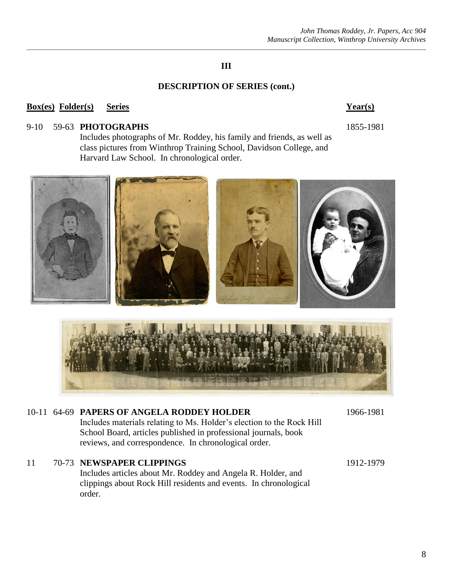#### **DESCRIPTION OF SERIES (cont.)**

#### **Box(es) Folder(s) Series Year(s)**

#### 9-10 59-63 **PHOTOGRAPHS** 1855-1981

Includes photographs of Mr. Roddey, his family and friends, as well as class pictures from Winthrop Training School, Davidson College, and Harvard Law School. In chronological order.



# 10-11 64-69 **PAPERS OF ANGELA RODDEY HOLDER** 1966-1981 Includes materials relating to Ms. Holder's election to the Rock Hill School Board, articles published in professional journals, book reviews, and correspondence. In chronological order. 11 70-73 **NEWSPAPER CLIPPINGS** 1912-1979

Includes articles about Mr. Roddey and Angela R. Holder, and clippings about Rock Hill residents and events. In chronological order.

8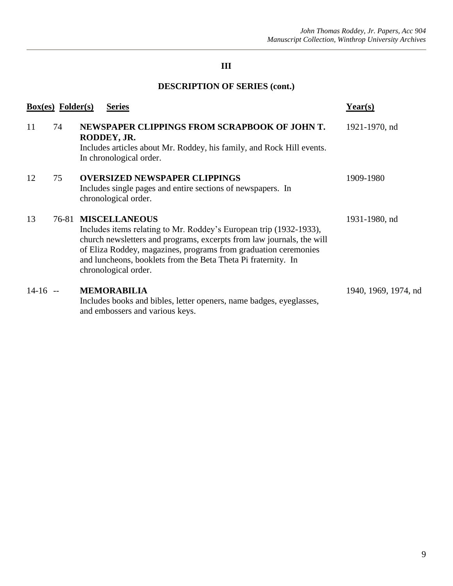# **DESCRIPTION OF SERIES (cont.)**

|           | $Box(es)$ Folder $(s)$ | <b>Series</b>                                                                                                                                                                                                                                                                                                                   | Year(s)              |
|-----------|------------------------|---------------------------------------------------------------------------------------------------------------------------------------------------------------------------------------------------------------------------------------------------------------------------------------------------------------------------------|----------------------|
| 11        | 74                     | NEWSPAPER CLIPPINGS FROM SCRAPBOOK OF JOHN T.<br>RODDEY, JR.<br>Includes articles about Mr. Roddey, his family, and Rock Hill events.<br>In chronological order.                                                                                                                                                                | 1921-1970, nd        |
| 12        | 75                     | <b>OVERSIZED NEWSPAPER CLIPPINGS</b><br>Includes single pages and entire sections of newspapers. In<br>chronological order.                                                                                                                                                                                                     | 1909-1980            |
| 13        | 76-81                  | <b>MISCELLANEOUS</b><br>Includes items relating to Mr. Roddey's European trip (1932-1933),<br>church newsletters and programs, excerpts from law journals, the will<br>of Eliza Roddey, magazines, programs from graduation ceremonies<br>and luncheons, booklets from the Beta Theta Pi fraternity. In<br>chronological order. | 1931-1980, nd        |
| $14-16 -$ |                        | <b>MEMORABILIA</b><br>Includes books and bibles, letter openers, name badges, eyeglasses,<br>and embossers and various keys.                                                                                                                                                                                                    | 1940, 1969, 1974, nd |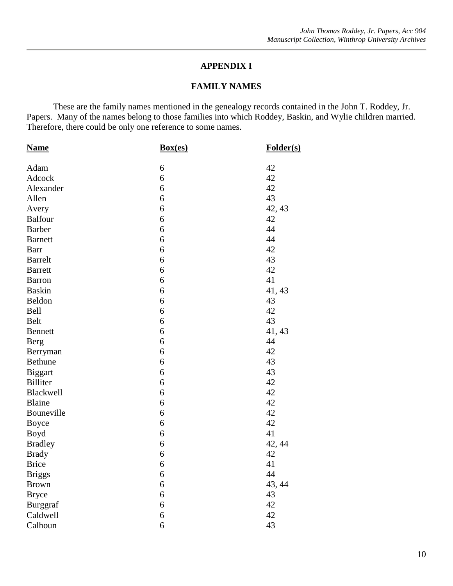#### **APPENDIX I**

#### **FAMILY NAMES**

These are the family names mentioned in the genealogy records contained in the John T. Roddey, Jr. Papers. Many of the names belong to those families into which Roddey, Baskin, and Wylie children married. Therefore, there could be only one reference to some names.

| <b>Name</b>     | Box(es)          | Folder(s) |
|-----------------|------------------|-----------|
| Adam            | 6                | 42        |
| Adcock          | 6                | 42        |
| Alexander       | 6                | 42        |
| Allen           | 6                | 43        |
| Avery           | 6                | 42, 43    |
| <b>Balfour</b>  | 6                | 42        |
| <b>Barber</b>   | 6                | 44        |
| <b>Barnett</b>  | 6                | 44        |
| Barr            | 6                | 42        |
| <b>Barrelt</b>  | 6                | 43        |
| <b>Barrett</b>  | 6                | 42        |
| <b>Barron</b>   | 6                | 41        |
| <b>Baskin</b>   | 6                | 41, 43    |
| Beldon          | 6                | 43        |
| Bell            | 6                | 42        |
| Belt            | 6                | 43        |
| <b>Bennett</b>  | 6                | 41, 43    |
| <b>Berg</b>     | 6                | 44        |
| Berryman        | 6                | 42        |
| <b>Bethune</b>  | 6                | 43        |
| <b>Biggart</b>  | 6                | 43        |
| <b>Billiter</b> | 6                | 42        |
| Blackwell       | 6                | 42        |
| <b>Blaine</b>   | 6                | 42        |
| Bouneville      | 6                | 42        |
| <b>Boyce</b>    | 6                | 42        |
| Boyd            | 6                | 41        |
| <b>Bradley</b>  | 6                | 42, 44    |
| <b>Brady</b>    | 6                | 42        |
| <b>Brice</b>    | 6                | 41        |
| <b>Briggs</b>   | 6                | 44        |
| <b>Brown</b>    | 6                | 43, 44    |
| <b>Bryce</b>    | 6                | 43        |
| <b>Burggraf</b> | 6                | 42        |
| Caldwell        | $\boldsymbol{6}$ | 42        |
| Calhoun         | 6                | 43        |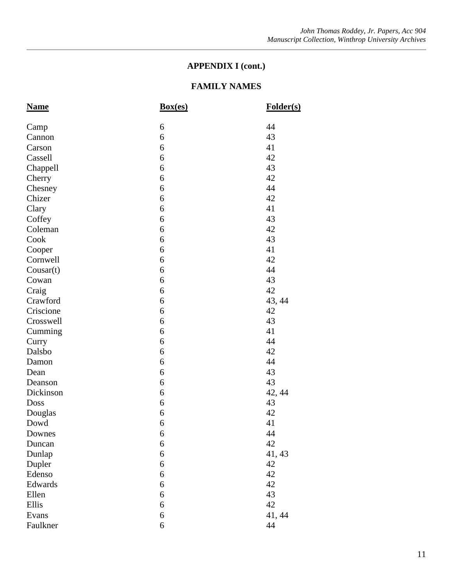| <b>Name</b> | Box(es) | Folder(s) |
|-------------|---------|-----------|
| Camp        | 6       | 44        |
| Cannon      | 6       | 43        |
| Carson      | 6       | 41        |
| Cassell     | 6       | 42        |
| Chappell    | 6       | 43        |
| Cherry      | 6       | 42        |
| Chesney     | 6       | 44        |
| Chizer      | 6       | 42        |
| Clary       | 6       | 41        |
| Coffey      | 6       | 43        |
| Coleman     | 6       | 42        |
| Cook        | 6       | 43        |
| Cooper      | 6       | 41        |
| Cornwell    | 6       | 42        |
| Cousar(t)   | 6       | 44        |
| Cowan       | 6       | 43        |
| Craig       | 6       | 42        |
| Crawford    | 6       | 43, 44    |
| Criscione   | 6       | 42        |
| Crosswell   | 6       | 43        |
| Cumming     | 6       | 41        |
| Curry       | 6       | 44        |
| Dalsbo      | 6       | 42        |
| Damon       | 6       | 44        |
| Dean        | 6       | 43        |
| Deanson     | 6       | 43        |
| Dickinson   | 6       | 42, 44    |
| Doss        | 6       | 43        |
| Douglas     | 6       | 42        |
| Dowd        | 6       | 41        |
| Downes      | 6       | 44        |
| Duncan      | 6       | 42        |
| Dunlap      | 6       | 41, 43    |
| Dupler      | 6       | 42        |
| Edenso      | 6       | 42        |
| Edwards     | 6       | 42        |
| Ellen       | 6       | 43        |
| Ellis       | 6       | 42        |
| Evans       | 6       | 41, 44    |
| Faulkner    | 6       | 44        |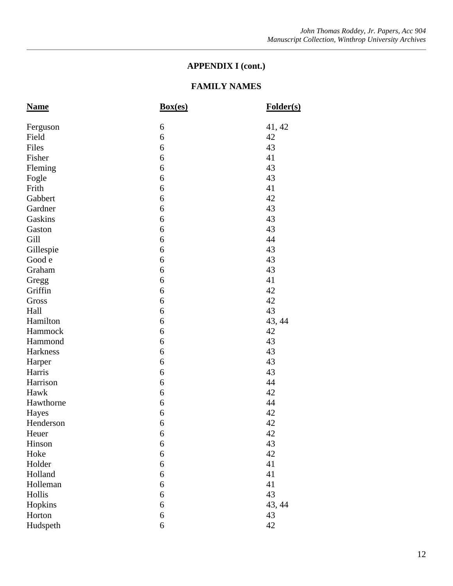| <b>Name</b> | Box(es) | Folder(s) |
|-------------|---------|-----------|
| Ferguson    | 6       | 41, 42    |
| Field       | 6       | 42        |
| Files       | 6       | 43        |
| Fisher      | 6       | 41        |
| Fleming     | 6       | 43        |
| Fogle       | 6       | 43        |
| Frith       | 6       | 41        |
| Gabbert     | 6       | 42        |
| Gardner     | 6       | 43        |
| Gaskins     | 6       | 43        |
| Gaston      | 6       | 43        |
| Gill        | 6       | 44        |
| Gillespie   | 6       | 43        |
| Good e      | 6       | 43        |
| Graham      | 6       | 43        |
| Gregg       | 6       | 41        |
| Griffin     | 6       | 42        |
| Gross       | 6       | 42        |
| Hall        | 6       | 43        |
| Hamilton    | 6       | 43, 44    |
| Hammock     | 6       | 42        |
| Hammond     | 6       | 43        |
| Harkness    | 6       | 43        |
| Harper      | 6       | 43        |
| Harris      | 6       | 43        |
| Harrison    | 6       | 44        |
| Hawk        | 6       | 42        |
| Hawthorne   | 6       | 44        |
| Hayes       | 6       | 42        |
| Henderson   | 6       | 42        |
| Heuer       | 6       | 42        |
| Hinson      | 6       | 43        |
| Hoke        | 6       | 42        |
| Holder      | 6       | 41        |
| Holland     | 6       | 41        |
| Holleman    | 6       | 41        |
| Hollis      | 6       | 43        |
| Hopkins     | 6       | 43, 44    |
| Horton      | 6       | 43        |
| Hudspeth    | 6       | 42        |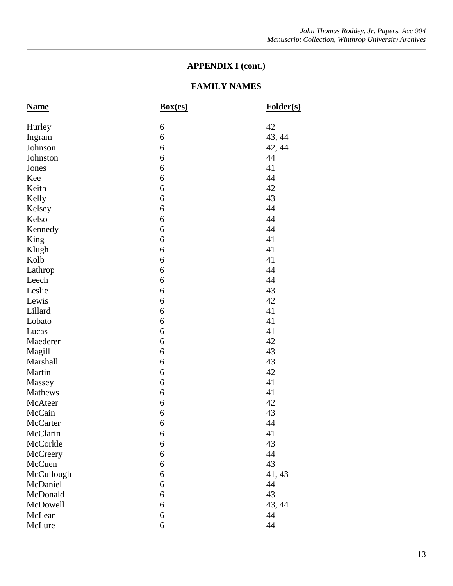| <b>Name</b> | Box(es) | Folder(s) |
|-------------|---------|-----------|
| Hurley      | 6       | 42        |
| Ingram      | 6       | 43, 44    |
| Johnson     | 6       | 42, 44    |
| Johnston    | 6       | 44        |
| Jones       | 6       | 41        |
| Kee         | 6       | 44        |
| Keith       | 6       | 42        |
| Kelly       | 6       | 43        |
| Kelsey      | 6       | 44        |
| Kelso       | 6       | 44        |
| Kennedy     | 6       | 44        |
| King        | 6       | 41        |
| Klugh       | 6       | 41        |
| Kolb        | 6       | 41        |
| Lathrop     | 6       | 44        |
| Leech       | 6       | 44        |
| Leslie      | 6       | 43        |
| Lewis       | 6       | 42        |
| Lillard     | 6       | 41        |
| Lobato      | 6       | 41        |
| Lucas       | 6       | 41        |
| Maederer    | 6       | 42        |
| Magill      | 6       | 43        |
| Marshall    | 6       | 43        |
| Martin      | 6       | 42        |
| Massey      | 6       | 41        |
| Mathews     | 6       | 41        |
| McAteer     | 6       | 42        |
| McCain      | 6       | 43        |
| McCarter    | 6       | 44        |
| McClarin    | 6       | 41        |
| McCorkle    | 6       | 43        |
| McCreery    | 6       | 44        |
| McCuen      | 6       | 43        |
| McCullough  | 6       | 41, 43    |
| McDaniel    | 6       | 44        |
| McDonald    | 6       | 43        |
| McDowell    | 6       | 43, 44    |
| McLean      | 6       | 44        |
| McLure      | 6       | 44        |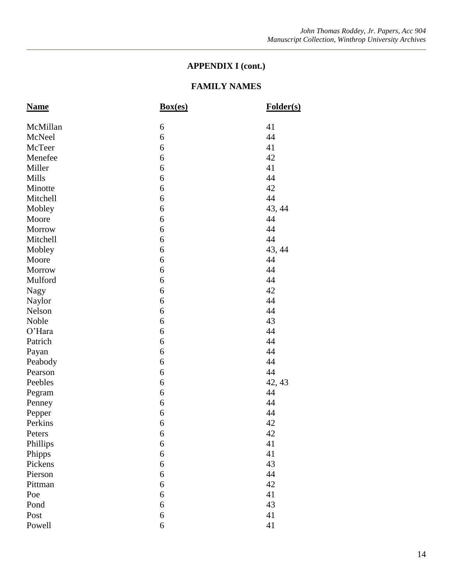| <b>Name</b> | Box(es) | Folder(s) |
|-------------|---------|-----------|
| McMillan    | 6       | 41        |
| McNeel      | 6       | 44        |
| McTeer      | 6       | 41        |
| Menefee     | 6       | 42        |
| Miller      | 6       | 41        |
| Mills       | 6       | 44        |
| Minotte     | 6       | 42        |
| Mitchell    | 6       | 44        |
| Mobley      | 6       | 43, 44    |
| Moore       | 6       | 44        |
| Morrow      | 6       | 44        |
| Mitchell    | 6       | 44        |
| Mobley      | 6       | 43, 44    |
| Moore       | 6       | 44        |
| Morrow      | 6       | 44        |
| Mulford     | 6       | 44        |
| <b>Nagy</b> | 6       | 42        |
| Naylor      | 6       | 44        |
| Nelson      | 6       | 44        |
| Noble       | 6       | 43        |
| O'Hara      | 6       | 44        |
| Patrich     | 6       | 44        |
| Payan       | 6       | 44        |
| Peabody     | 6       | 44        |
| Pearson     | 6       | 44        |
| Peebles     | 6       | 42, 43    |
| Pegram      | 6       | 44        |
| Penney      | 6       | 44        |
| Pepper      | 6       | 44        |
| Perkins     | 6       | 42        |
| Peters      | 6       | 42        |
| Phillips    | 6       | 41        |
| Phipps      | 6       | 41        |
| Pickens     | 6       | 43        |
| Pierson     | 6       | 44        |
| Pittman     | 6       | 42        |
| Poe         | 6       | 41        |
| Pond        | 6       | 43        |
| Post        | 6       | 41        |
| Powell      | 6       | 41        |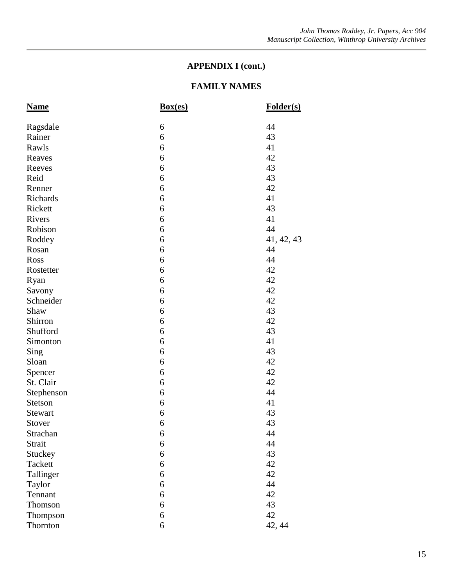| <b>Name</b> | Box(es) | Folder(s)  |
|-------------|---------|------------|
| Ragsdale    | 6       | 44         |
| Rainer      | 6       | 43         |
| Rawls       | 6       | 41         |
| Reaves      | 6       | 42         |
| Reeves      | 6       | 43         |
| Reid        | 6       | 43         |
| Renner      | 6       | 42         |
| Richards    | 6       | 41         |
| Rickett     | 6       | 43         |
| Rivers      | 6       | 41         |
| Robison     | 6       | 44         |
| Roddey      | 6       | 41, 42, 43 |
| Rosan       | 6       | 44         |
| Ross        | 6       | 44         |
| Rostetter   | 6       | 42         |
| Ryan        | 6       | 42         |
| Savony      | 6       | 42         |
| Schneider   | 6       | 42         |
| Shaw        | 6       | 43         |
| Shirron     | 6       | 42         |
| Shufford    | 6       | 43         |
| Simonton    | 6       | 41         |
| Sing        | 6       | 43         |
| Sloan       | 6       | 42         |
| Spencer     | 6       | 42         |
| St. Clair   | 6       | 42         |
| Stephenson  | 6       | 44         |
| Stetson     | 6       | 41         |
| Stewart     | 6       | 43         |
| Stover      | 6       | 43         |
| Strachan    | 6       | 44         |
| Strait      | 6       | 44         |
| Stuckey     | 6       | 43         |
| Tackett     | 6       | 42         |
| Tallinger   | 6       | 42         |
| Taylor      | 6       | 44         |
| Tennant     | 6       | 42         |
| Thomson     | 6       | 43         |
| Thompson    | 6       | 42         |
| Thornton    | 6       | 42, 44     |